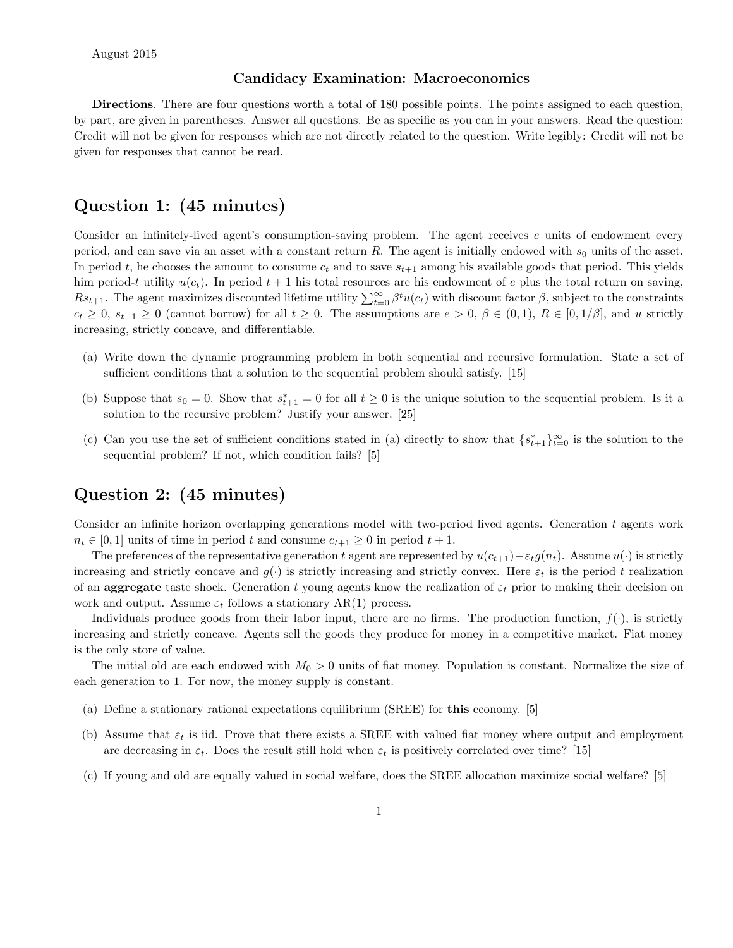#### Candidacy Examination: Macroeconomics

Directions. There are four questions worth a total of 180 possible points. The points assigned to each question, by part, are given in parentheses. Answer all questions. Be as specific as you can in your answers. Read the question: Credit will not be given for responses which are not directly related to the question. Write legibly: Credit will not be given for responses that cannot be read.

#### Question 1: (45 minutes)

Consider an infinitely-lived agent's consumption-saving problem. The agent receives  $e$  units of endowment every period, and can save via an asset with a constant return  $R$ . The agent is initially endowed with  $s_0$  units of the asset. In period t, he chooses the amount to consume  $c_t$  and to save  $s_{t+1}$  among his available goods that period. This yields him period-t utility  $u(c_t)$ . In period  $t + 1$  his total resources are his endowment of e plus the total return on saving,  $Rs_{t+1}$ . The agent maximizes discounted lifetime utility  $\sum_{t=0}^{\infty} \beta^t u(c_t)$  with discount factor  $\beta$ , subject to the constraints  $c_t \geq 0$ ,  $s_{t+1} \geq 0$  (cannot borrow) for all  $t \geq 0$ . The assumptions are  $e > 0$ ,  $\beta \in (0,1)$ ,  $R \in [0,1/\beta]$ , and u strictly increasing, strictly concave, and differentiable.

- (a) Write down the dynamic programming problem in both sequential and recursive formulation. State a set of sufficient conditions that a solution to the sequential problem should satisfy. [15]
- (b) Suppose that  $s_0 = 0$ . Show that  $s_{t+1}^* = 0$  for all  $t \ge 0$  is the unique solution to the sequential problem. Is it a solution to the recursive problem? Justify your answer. [25]
- (c) Can you use the set of sufficient conditions stated in (a) directly to show that  $\{s_{t+1}^*\}_{t=0}^\infty$  is the solution to the sequential problem? If not, which condition fails? [5]

### Question 2: (45 minutes)

Consider an infinite horizon overlapping generations model with two-period lived agents. Generation t agents work  $n_t \in [0,1]$  units of time in period t and consume  $c_{t+1} \geq 0$  in period  $t+1$ .

The preferences of the representative generation t agent are represented by  $u(c_{t+1})-\varepsilon_t g(n_t)$ . Assume  $u(\cdot)$  is strictly increasing and strictly concave and  $g(\cdot)$  is strictly increasing and strictly convex. Here  $\varepsilon_t$  is the period t realization of an **aggregate** taste shock. Generation t young agents know the realization of  $\varepsilon_t$  prior to making their decision on work and output. Assume  $\varepsilon_t$  follows a stationary AR(1) process.

Individuals produce goods from their labor input, there are no firms. The production function,  $f(\cdot)$ , is strictly increasing and strictly concave. Agents sell the goods they produce for money in a competitive market. Fiat money is the only store of value.

The initial old are each endowed with  $M_0 > 0$  units of fiat money. Population is constant. Normalize the size of each generation to 1. For now, the money supply is constant.

- (a) Define a stationary rational expectations equilibrium (SREE) for this economy. [5]
- (b) Assume that  $\varepsilon_t$  is iid. Prove that there exists a SREE with valued fiat money where output and employment are decreasing in  $\varepsilon_t$ . Does the result still hold when  $\varepsilon_t$  is positively correlated over time? [15]
- (c) If young and old are equally valued in social welfare, does the SREE allocation maximize social welfare? [5]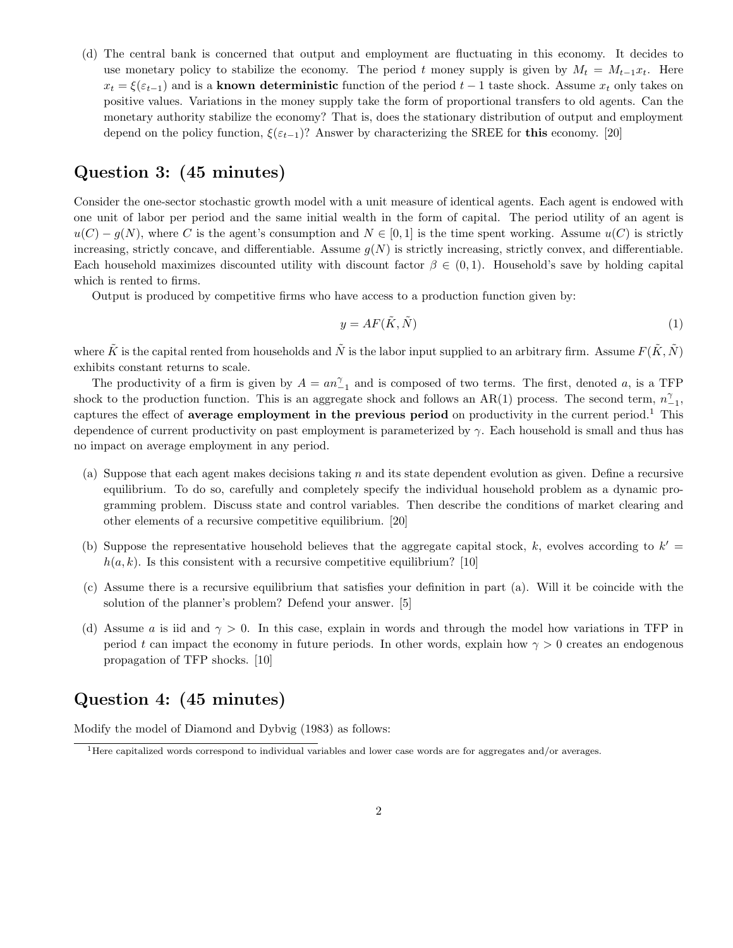(d) The central bank is concerned that output and employment are fluctuating in this economy. It decides to use monetary policy to stabilize the economy. The period t money supply is given by  $M_t = M_{t-1}x_t$ . Here  $x_t = \xi(\varepsilon_{t-1})$  and is a known deterministic function of the period  $t-1$  taste shock. Assume  $x_t$  only takes on positive values. Variations in the money supply take the form of proportional transfers to old agents. Can the monetary authority stabilize the economy? That is, does the stationary distribution of output and employment depend on the policy function,  $\xi(\varepsilon_{t-1})$ ? Answer by characterizing the SREE for this economy. [20]

# Question 3: (45 minutes)

Consider the one-sector stochastic growth model with a unit measure of identical agents. Each agent is endowed with one unit of labor per period and the same initial wealth in the form of capital. The period utility of an agent is  $u(C) - q(N)$ , where C is the agent's consumption and  $N \in [0, 1]$  is the time spent working. Assume  $u(C)$  is strictly increasing, strictly concave, and differentiable. Assume  $q(N)$  is strictly increasing, strictly convex, and differentiable. Each household maximizes discounted utility with discount factor  $\beta \in (0,1)$ . Household's save by holding capital which is rented to firms.

Output is produced by competitive firms who have access to a production function given by:

$$
y = AF(\tilde{K}, \tilde{N})
$$
\n<sup>(1)</sup>

where  $\tilde{K}$  is the capital rented from households and  $\tilde{N}$  is the labor input supplied to an arbitrary firm. Assume  $F(\tilde{K}, \tilde{N})$ exhibits constant returns to scale.

The productivity of a firm is given by  $A = an_{-1}^{\gamma}$  and is composed of two terms. The first, denoted a, is a TFP shock to the production function. This is an aggregate shock and follows an AR(1) process. The second term,  $n_{-1}^{\gamma}$ , captures the effect of average employment in the previous period on productivity in the current period.<sup>1</sup> This dependence of current productivity on past employment is parameterized by  $\gamma$ . Each household is small and thus has no impact on average employment in any period.

- (a) Suppose that each agent makes decisions taking  $n$  and its state dependent evolution as given. Define a recursive equilibrium. To do so, carefully and completely specify the individual household problem as a dynamic programming problem. Discuss state and control variables. Then describe the conditions of market clearing and other elements of a recursive competitive equilibrium. [20]
- (b) Suppose the representative household believes that the aggregate capital stock, k, evolves according to  $k' =$  $h(a, k)$ . Is this consistent with a recursive competitive equilibrium? [10]
- (c) Assume there is a recursive equilibrium that satisfies your definition in part (a). Will it be coincide with the solution of the planner's problem? Defend your answer. [5]
- (d) Assume a is iid and  $\gamma > 0$ . In this case, explain in words and through the model how variations in TFP in period t can impact the economy in future periods. In other words, explain how  $\gamma > 0$  creates an endogenous propagation of TFP shocks. [10]

## Question 4: (45 minutes)

Modify the model of Diamond and Dybvig (1983) as follows:

<sup>1</sup>Here capitalized words correspond to individual variables and lower case words are for aggregates and/or averages.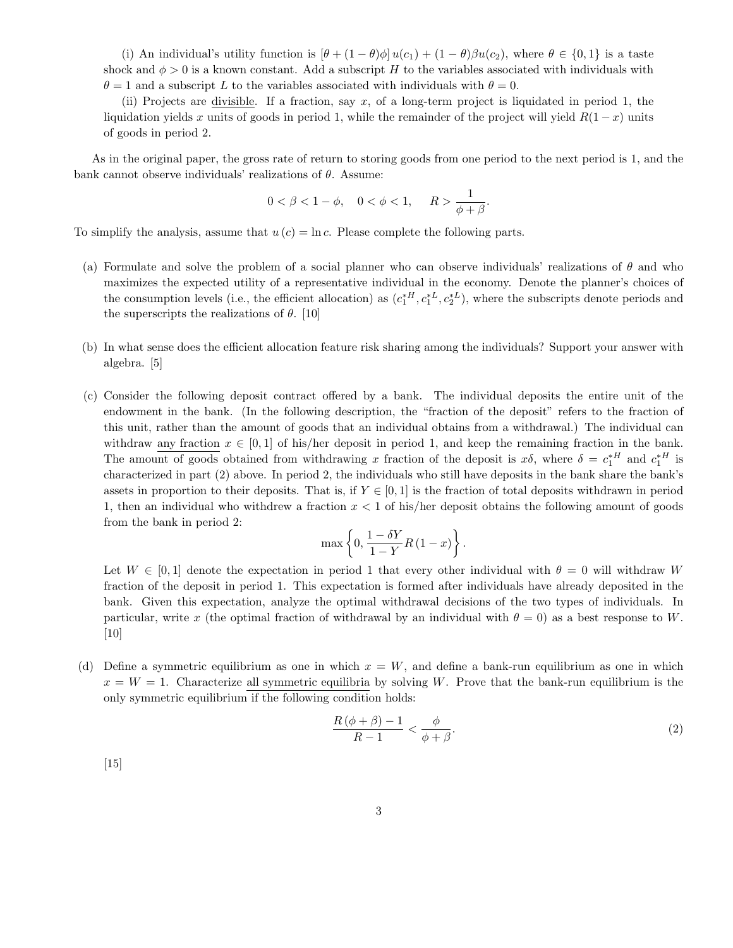(i) An individual's utility function is  $[\theta + (1 - \theta)\phi]u(c_1) + (1 - \theta)\beta u(c_2)$ , where  $\theta \in \{0, 1\}$  is a taste shock and  $\phi > 0$  is a known constant. Add a subscript H to the variables associated with individuals with  $\theta = 1$  and a subscript L to the variables associated with individuals with  $\theta = 0$ .

(ii) Projects are divisible. If a fraction, say x, of a long-term project is liquidated in period 1, the liquidation yields x units of goods in period 1, while the remainder of the project will yield  $R(1-x)$  units of goods in period 2.

As in the original paper, the gross rate of return to storing goods from one period to the next period is 1, and the bank cannot observe individuals' realizations of  $\theta$ . Assume:

$$
0 < \beta < 1 - \phi, \quad 0 < \phi < 1, \quad R > \frac{1}{\phi + \beta}.
$$

To simplify the analysis, assume that  $u(c) = \ln c$ . Please complete the following parts.

- (a) Formulate and solve the problem of a social planner who can observe individuals' realizations of  $\theta$  and who maximizes the expected utility of a representative individual in the economy. Denote the planner's choices of the consumption levels (i.e., the efficient allocation) as  $(c_1^*{}^H, c_1^*{}^L, c_2^*{}^L)$ , where the subscripts denote periods and the superscripts the realizations of  $\theta$ . [10]
- (b) In what sense does the efficient allocation feature risk sharing among the individuals? Support your answer with algebra. [5]
- (c) Consider the following deposit contract offered by a bank. The individual deposits the entire unit of the endowment in the bank. (In the following description, the "fraction of the deposit" refers to the fraction of this unit, rather than the amount of goods that an individual obtains from a withdrawal.) The individual can withdraw any fraction  $x \in [0,1]$  of his/her deposit in period 1, and keep the remaining fraction in the bank. The amount of goods obtained from withdrawing x fraction of the deposit is  $x\delta$ , where  $\delta = c_1^{*H}$  and  $c_1^{*H}$  is characterized in part (2) above. In period 2, the individuals who still have deposits in the bank share the bank's assets in proportion to their deposits. That is, if  $Y \in [0,1]$  is the fraction of total deposits withdrawn in period 1, then an individual who withdrew a fraction  $x < 1$  of his/her deposit obtains the following amount of goods from the bank in period 2:

$$
\max\left\{0,\frac{1-\delta Y}{1-Y}R(1-x)\right\}.
$$

Let  $W \in [0, 1]$  denote the expectation in period 1 that every other individual with  $\theta = 0$  will withdraw W fraction of the deposit in period 1. This expectation is formed after individuals have already deposited in the bank. Given this expectation, analyze the optimal withdrawal decisions of the two types of individuals. In particular, write x (the optimal fraction of withdrawal by an individual with  $\theta = 0$ ) as a best response to W. [10]

(d) Define a symmetric equilibrium as one in which  $x = W$ , and define a bank-run equilibrium as one in which  $x = W = 1$ . Characterize all symmetric equilibria by solving W. Prove that the bank-run equilibrium is the only symmetric equilibrium if the following condition holds:

$$
\frac{R(\phi+\beta)-1}{R-1} < \frac{\phi}{\phi+\beta}.\tag{2}
$$

 $[15]$